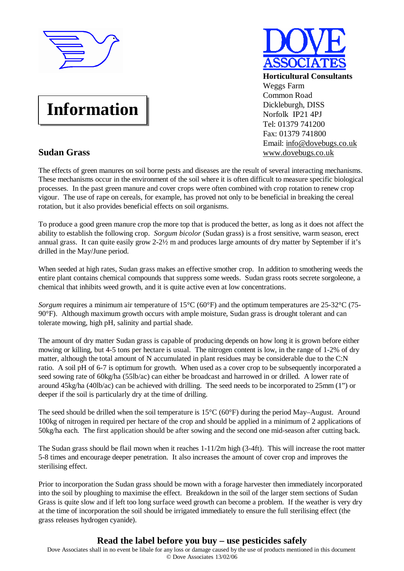

## **Information**

## **Sudan Grass**

**Horticultural Consultants** Weggs Farm Common Road Dickleburgh, DISS Norfolk IP21 4PJ Tel: 01379 741200 Fax: 01379 741800 Email: [info@dovebugs.co.uk](mailto:info@dovebugs.co.uk) [www.dovebugs.co.uk](http://www.dovebugs.co.uk)

The effects of green manures on soil borne pests and diseases are the result of several interacting mechanisms. These mechanisms occur in the environment of the soil where it is often difficult to measure specific biological processes. In the past green manure and cover crops were often combined with crop rotation to renew crop vigour. The use of rape on cereals, for example, has proved not only to be beneficial in breaking the cereal rotation, but it also provides beneficial effects on soil organisms.

To produce a good green manure crop the more top that is produced the better, as long as it does not affect the ability to establish the following crop. *Sorgum bicolor* (Sudan grass) is a frost sensitive, warm season, erect annual grass. It can quite easily grow 2-2½ m and produces large amounts of dry matter by September if it's drilled in the May/June period.

When seeded at high rates, Sudan grass makes an effective smother crop. In addition to smothering weeds the entire plant contains chemical compounds that suppress some weeds. Sudan grass roots secrete sorgoleone, a chemical that inhibits weed growth, and it is quite active even at low concentrations.

*Sorgum* requires a minimum air temperature of 15<sup>o</sup>C (60<sup>o</sup>F) and the optimum temperatures are 25-32<sup>o</sup>C (75-90°F). Although maximum growth occurs with ample moisture, Sudan grass is drought tolerant and can tolerate mowing, high pH, salinity and partial shade.

The amount of dry matter Sudan grass is capable of producing depends on how long it is grown before either mowing or killing, but 4-5 tons per hectare is usual. The nitrogen content is low, in the range of 1-2% of dry matter, although the total amount of N accumulated in plant residues may be considerable due to the C:N ratio. A soil pH of 6-7 is optimum for growth. When used as a cover crop to be subsequently incorporated a seed sowing rate of 60kg/ha (55lb/ac) can either be broadcast and harrowed in or drilled. A lower rate of around 45kg/ha (40lb/ac) can be achieved with drilling. The seed needs to be incorporated to 25mm (1") or deeper if the soil is particularly dry at the time of drilling.

The seed should be drilled when the soil temperature is  $15^{\circ}C(60^{\circ}F)$  during the period May–August. Around 100kg of nitrogen in required per hectare of the crop and should be applied in a minimum of 2 applications of 50kg/ha each. The first application should be after sowing and the second one mid-season after cutting back.

The Sudan grass should be flail mown when it reaches 1-11/2m high (3-4ft). This will increase the root matter 5-8 times and encourage deeper penetration. It also increases the amount of cover crop and improves the sterilising effect.

Prior to incorporation the Sudan grass should be mown with a forage harvester then immediately incorporated into the soil by ploughing to maximise the effect. Breakdown in the soil of the larger stem sections of Sudan Grass is quite slow and if left too long surface weed growth can become a problem. If the weather is very dry at the time of incorporation the soil should be irrigated immediately to ensure the full sterilising effect (the grass releases hydrogen cyanide).

## **Read the label before you buy – use pesticides safely**

Dove Associates shall in no event be libale for any loss or damage caused by the use of products mentioned in this document © Dove Associates 13/02/06